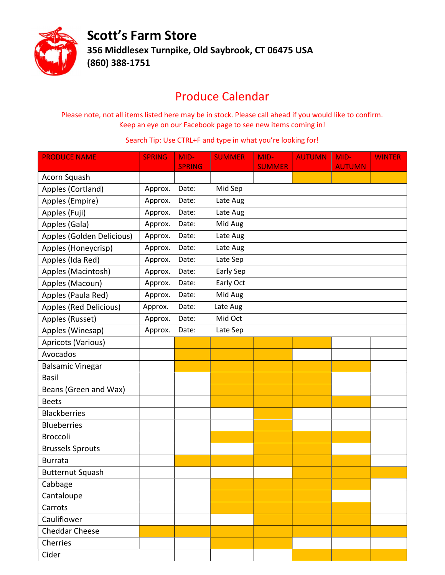

Scott's Farm Store 356 Middlesex Turnpike, Old Saybrook, CT 06475 USA (860) 388-1751

## Produce Calendar

Please note, not all items listed here may be in stock. Please call ahead if you would like to confirm. Keep an eye on our Facebook page to see new items coming in!

## Search Tip: Use CTRL+F and type in what you're looking for!

| <b>PRODUCE NAME</b>       | <b>SPRING</b> | MID-          | <b>SUMMER</b> | MID-          | <b>AUTUMN</b> | MID-          | <b>WINTER</b> |
|---------------------------|---------------|---------------|---------------|---------------|---------------|---------------|---------------|
|                           |               | <b>SPRING</b> |               | <b>SUMMER</b> |               | <b>AUTUMN</b> |               |
| Acorn Squash              |               |               |               |               |               |               |               |
| Apples (Cortland)         | Approx.       | Date:         | Mid Sep       |               |               |               |               |
| Apples (Empire)           | Approx.       | Date:         | Late Aug      |               |               |               |               |
| Apples (Fuji)             | Approx.       | Date:         | Late Aug      |               |               |               |               |
| Apples (Gala)             | Approx.       | Date:         | Mid Aug       |               |               |               |               |
| Apples (Golden Delicious) | Approx.       | Date:         | Late Aug      |               |               |               |               |
| Apples (Honeycrisp)       | Approx.       | Date:         | Late Aug      |               |               |               |               |
| Apples (Ida Red)          | Approx.       | Date:         | Late Sep      |               |               |               |               |
| Apples (Macintosh)        | Approx.       | Date:         | Early Sep     |               |               |               |               |
| Apples (Macoun)           | Approx.       | Date:         | Early Oct     |               |               |               |               |
| Apples (Paula Red)        | Approx.       | Date:         | Mid Aug       |               |               |               |               |
| Apples (Red Delicious)    | Approx.       | Date:         | Late Aug      |               |               |               |               |
| Apples (Russet)           | Approx.       | Date:         | Mid Oct       |               |               |               |               |
| Apples (Winesap)          | Approx.       | Date:         | Late Sep      |               |               |               |               |
| Apricots (Various)        |               |               |               |               |               |               |               |
| Avocados                  |               |               |               |               |               |               |               |
| <b>Balsamic Vinegar</b>   |               |               |               |               |               |               |               |
| <b>Basil</b>              |               |               |               |               |               |               |               |
| Beans (Green and Wax)     |               |               |               |               |               |               |               |
| <b>Beets</b>              |               |               |               |               |               |               |               |
| <b>Blackberries</b>       |               |               |               |               |               |               |               |
| <b>Blueberries</b>        |               |               |               |               |               |               |               |
| <b>Broccoli</b>           |               |               |               |               |               |               |               |
| <b>Brussels Sprouts</b>   |               |               |               |               |               |               |               |
| <b>Burrata</b>            |               |               |               |               |               |               |               |
| <b>Butternut Squash</b>   |               |               |               |               |               |               |               |
| Cabbage                   |               |               |               |               |               |               |               |
| Cantaloupe                |               |               |               |               |               |               |               |
| Carrots                   |               |               |               |               |               |               |               |
| Cauliflower               |               |               |               |               |               |               |               |
| <b>Cheddar Cheese</b>     |               |               |               |               |               |               |               |
| Cherries                  |               |               |               |               |               |               |               |
| Cider                     |               |               |               |               |               |               |               |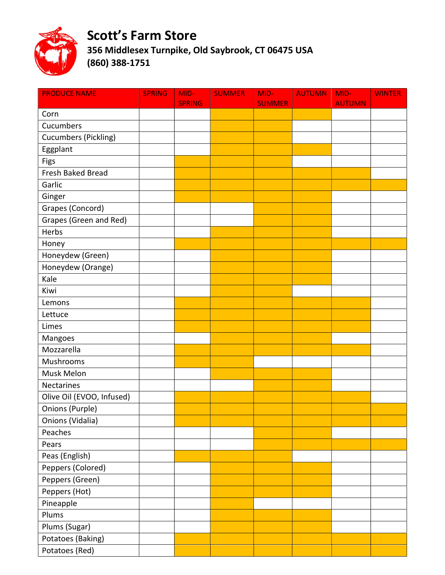

## Scott's Farm Store

356 Middlesex Turnpike, Old Saybrook, CT 06475 USA (860) 388-1751

| <b>PRODUCE NAME</b>         | <b>SPRING</b> | MID-<br><b>SPRING</b> | <b>SUMMER</b> | MID-<br><b>SUMMER</b> | <b>AUTUMN</b> | MID-<br><b>AUTUMN</b> | <b>WINTER</b> |
|-----------------------------|---------------|-----------------------|---------------|-----------------------|---------------|-----------------------|---------------|
| Corn                        |               |                       |               |                       |               |                       |               |
| Cucumbers                   |               |                       |               |                       |               |                       |               |
| <b>Cucumbers (Pickling)</b> |               |                       |               |                       |               |                       |               |
| Eggplant                    |               |                       |               |                       |               |                       |               |
| Figs                        |               |                       |               |                       |               |                       |               |
| Fresh Baked Bread           |               |                       |               |                       |               |                       |               |
| Garlic                      |               |                       |               |                       |               |                       |               |
| Ginger                      |               |                       |               |                       |               |                       |               |
| Grapes (Concord)            |               |                       |               |                       |               |                       |               |
| Grapes (Green and Red)      |               |                       |               |                       |               |                       |               |
| Herbs                       |               |                       |               |                       |               |                       |               |
| Honey                       |               |                       |               |                       |               |                       |               |
| Honeydew (Green)            |               |                       |               |                       |               |                       |               |
| Honeydew (Orange)           |               |                       |               |                       |               |                       |               |
| Kale                        |               |                       |               |                       |               |                       |               |
| Kiwi                        |               |                       |               |                       |               |                       |               |
| Lemons                      |               |                       |               |                       |               |                       |               |
| Lettuce                     |               |                       |               |                       |               |                       |               |
| Limes                       |               |                       |               |                       |               |                       |               |
| Mangoes                     |               |                       |               |                       |               |                       |               |
| Mozzarella                  |               |                       |               |                       |               |                       |               |
| Mushrooms                   |               |                       |               |                       |               |                       |               |
| Musk Melon                  |               |                       |               |                       |               |                       |               |
| Nectarines                  |               |                       |               |                       |               |                       |               |
| Olive Oil (EVOO, Infused)   |               |                       |               |                       |               |                       |               |
| Onions (Purple)             |               |                       |               |                       |               |                       |               |
| Onions (Vidalia)            |               |                       |               |                       |               |                       |               |
| Peaches                     |               |                       |               |                       |               |                       |               |
| Pears                       |               |                       |               |                       |               |                       |               |
| Peas (English)              |               |                       |               |                       |               |                       |               |
| Peppers (Colored)           |               |                       |               |                       |               |                       |               |
| Peppers (Green)             |               |                       |               |                       |               |                       |               |
| Peppers (Hot)               |               |                       |               |                       |               |                       |               |
| Pineapple                   |               |                       |               |                       |               |                       |               |
| Plums                       |               |                       |               |                       |               |                       |               |
| Plums (Sugar)               |               |                       |               |                       |               |                       |               |
| Potatoes (Baking)           |               |                       |               |                       |               |                       |               |
| Potatoes (Red)              |               |                       |               |                       |               |                       |               |